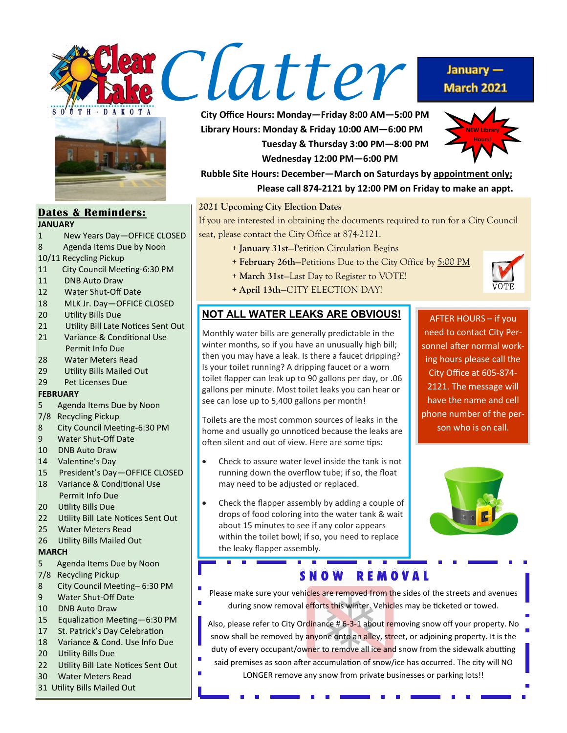



#### **Dates & Reminders: JANUARY**

- 
- 1 New Years Day—OFFICE CLOSED
- 8 Agenda Items Due by Noon
- 10/11 Recycling Pickup
- 11 City Council Meeting-6:30 PM
- 11 DNB Auto Draw
- 12 Water Shut-Off Date
- 18 MLK Jr. Day—OFFICE CLOSED
- 20 Utility Bills Due
- 21 Utility Bill Late Notices Sent Out
- 21 Variance & Conditional Use Permit Info Due
- 28 Water Meters Read
- 29 Utility Bills Mailed Out
- 29 Pet Licenses Due

#### **FEBRUARY**

- 5 Agenda Items Due by Noon
- 7/8 Recycling Pickup
- 8 City Council Meeting-6:30 PM
- 9 Water Shut-Off Date
- 10 DNB Auto Draw
- 14 Valentine's Day
- 15 President's Day—OFFICE CLOSED
- 18 Variance & Conditional Use Permit Info Due
- 20 Utility Bills Due
- 22 Utility Bill Late Notices Sent Out
- 25 Water Meters Read
- 26 Utility Bills Mailed Out

#### **MARCH**

- 5 Agenda Items Due by Noon
- 7/8 Recycling Pickup
- 8 City Council Meeting– 6:30 PM
- 9 Water Shut-Off Date
- 10 DNB Auto Draw
- 15 Equalization Meeting—6:30 PM
- 17 St. Patrick's Day Celebration
- 18 Variance & Cond. Use Info Due
- 20 Utility Bills Due
- 22 Utility Bill Late Notices Sent Out
- 30 Water Meters Read
- 31 Utility Bills Mailed Out

**City Office Hours: Monday—Friday 8:00 AM—5:00 PM Library Hours: Monday & Friday 10:00 AM—6:00 PM Tuesday & Thursday 3:00 PM—8:00 PM Wednesday 12:00 PM—6:00 PM**



January  $-$ **March 2021** 

**Rubble Site Hours: December—March on Saturdays by appointment only; Please call 874-2121 by 12:00 PM on Friday to make an appt.**

### **2021 Upcoming City Election Dates**

If you are interested in obtaining the documents required to run for a City Council seat, please contact the City Office at 874-2121.

- + **January 31st**—Petition Circulation Begins
- + **February 26th**—Petitions Due to the City Office by 5:00 PM
- + **March 31st**—Last Day to Register to VOTE!
- + **April 13th**—CITY ELECTION DAY!

## **NOT ALL WATER LEAKS ARE OBVIOUS!**

Monthly water bills are generally predictable in the winter months, so if you have an unusually high bill; then you may have a leak. Is there a faucet dripping? Is your toilet running? A dripping faucet or a worn toilet flapper can leak up to 90 gallons per day, or .06 gallons per minute. Most toilet leaks you can hear or see can lose up to 5,400 gallons per month!

Toilets are the most common sources of leaks in the home and usually go unnoticed because the leaks are often silent and out of view. Here are some tips:

- Check to assure water level inside the tank is not running down the overflow tube; if so, the float may need to be adjusted or replaced.
- Check the flapper assembly by adding a couple of drops of food coloring into the water tank & wait about 15 minutes to see if any color appears within the toilet bowl; if so, you need to replace the leaky flapper assembly.

--

AFTER HOURS – if you need to contact City Personnel after normal working hours please call the City Office at 605-874- 2121. The message will have the name and cell phone number of the person who is on call.



# S N O W R E M O V A L

 $\overline{\phantom{a}}$ 

Please make sure your vehicles are removed from the sides of the streets and avenues during snow removal efforts this winter. Vehicles may be ticketed or towed.

Also, please refer to City Ordinance # 6-3-1 about removing snow off your property. No snow shall be removed by anyone onto an alley, street, or adjoining property. It is the duty of every occupant/owner to remove all ice and snow from the sidewalk abutting said premises as soon after accumulation of snow/ice has occurred. The city will NO

#### LONGER remove any snow from private businesses or parking lots!!